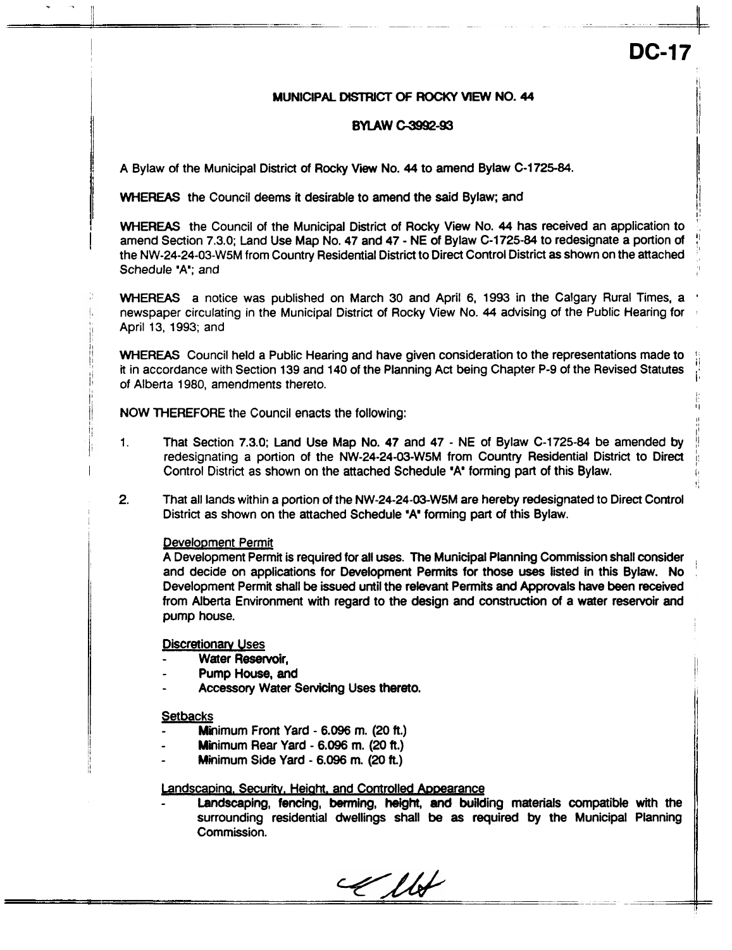11 **I'**  I!

ii **I** 

11 It

',

# **MUNICIPAL DISTRICT OF ROCKY VIEW NO. 44**

### **BYLAW C-3992-93**

A Bylaw of the Municipal District of Rocky View No. 44 to amend Bylaw **C-1725-84.** 

WHEREAS the Council deems it desirable to amend the said Bylaw; and

WHEREAS the Council of the Municipal District of Rocky View No. **44** has received an application to amend Section 7.3.0; Land Use Map No, 47 and 47 - NE of Bylaw C-1725-84 to redesignate a portion of the NW-24-24-03-W5M from Country Residential District to Direct Control District **as** shown on the attached ' Schedule 'A'; and

WHEREAS a notice was published **on** March 30 and April 6, 1993 in the Calgary Rural Times, a newspaper circulating in the Municipal District of Rocky View No. **44** advising of the Public Hearing for 1 April 13, 1993; and

WHEREAS Council held a Public Hearing and have given consideration to the representations made to it in accordance with Section 139 and 140 of the Planning Act being Chapter P-9 of the Revised Statutes of Alberta 1980, amendments thereto.

**NOW THEREFORE the Council enacts the following:** 

- 1. That Section 7.3.0; Land Use Map No. 47 and 47 - NE of Bylaw C-1725-84 be amended by redesignating a portion of the NW-24-24-03-W5M from Country Residential District to Direct Control District as shown on the attached Schedule **\*A forming part of this Bylaw.**
- 2. That **all** lands within a portion of the NW-24-24-03-W5M are hereby redesignated to Direct Control District as shown on the attached Schedule **\*A\*** forming part of this Bylaw.

# Development Permit

. **I.** 

A Development Permit is required for **aH** uses. The Municipal Planning Commission shall consider and decide on applications for Development **Permits** for those **uses** listed in this Bylaw. No Development Permit shall be issued until the relevant Permits and Approvals have been received from Alberta Environment with regard to the design and construction of a water reservoir and **pump** house.

**Discretionary Uses** 

- Water Reservoir,
- Pump House, and
- Accessory Water Servicing Uses thereto.

#### **Setbacks**

- Minimum Front Yard - *6.096* m. **(20 ft.)**
- Minimum Rear Yard - *6.096* m. **(20** ft.)
- Minimum Side Yard - *6.096* m. *(20* **k)**

# Landscaping, Security, Height, and Controlled Appearance

Landscaping, fencing, berming, height, and building materials compatible with the surrounding residential dwellings shall be **as** required by the Municipal Planning Commission.

Ellet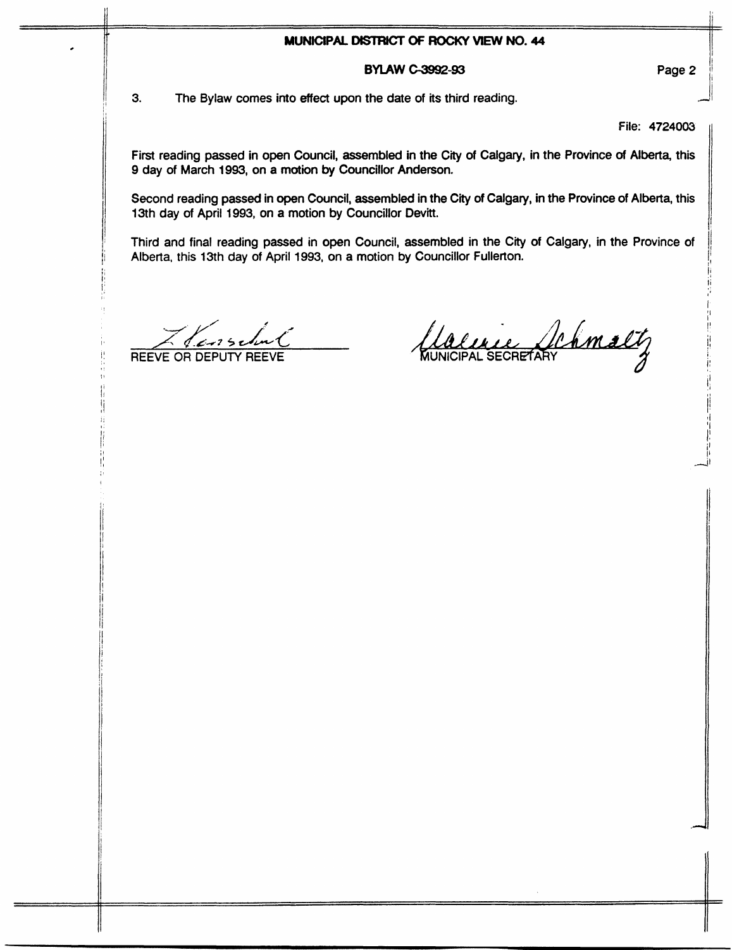### **MUNICIPAL DISTRICT OF ROCKY VIEW NO. 44**

# **BYLAW** *c-3992-93*

**3.** The Bylaw comes into effect upon the **date** of its third reading.

File: 4724003

First reading passed in open Council, assembled in the City of Calgary, in the Province of Alberta, this 9 day of March 1993, on a motion by Councillor Anderson.

Second reading passed in open Council, assembled in the City of Calgary, in the Province of Alberta, this 13th day of April 1993, on a motion by Councillor Devitt.

Third and final reading passed in open Council, assembled in the City of Calgary, in the Province of Alberta, this 13th day of April 1993, on a motion **by** Councillor Fullerton.

 $\frac{1}{2}$ 

REEVE OR DEPUTY REEVE WUNICIPAL SECRETARY

Page 2

!' *11*  I

/I ! II